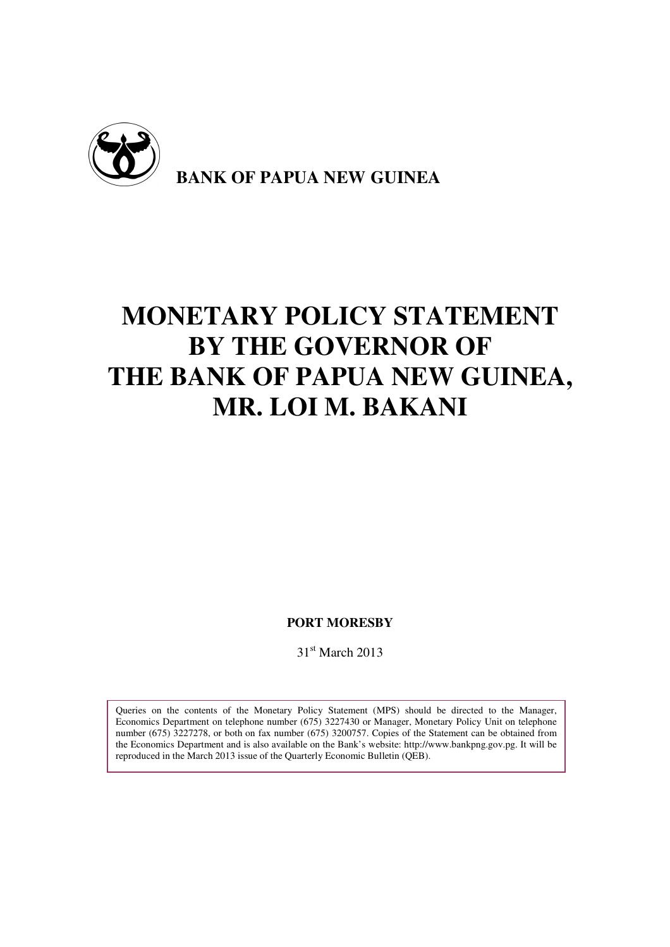

# **MONETARY POLICY STATEMENT BY THE GOVERNOR OF THE BANK OF PAPUA NEW GUINEA, MR. LOI M. BAKANI**

**PORT MORESBY** 

31<sup>st</sup> March 2013

Queries on the contents of the Monetary Policy Statement (MPS) should be directed to the Manager, Economics Department on telephone number (675) 3227430 or Manager, Monetary Policy Unit on telephone number (675) 3227278, or both on fax number (675) 3200757. Copies of the Statement can be obtained from the Economics Department and is also available on the Bank's website: http://www.bankpng.gov.pg. It will be reproduced in the March 2013 issue of the Quarterly Economic Bulletin (QEB).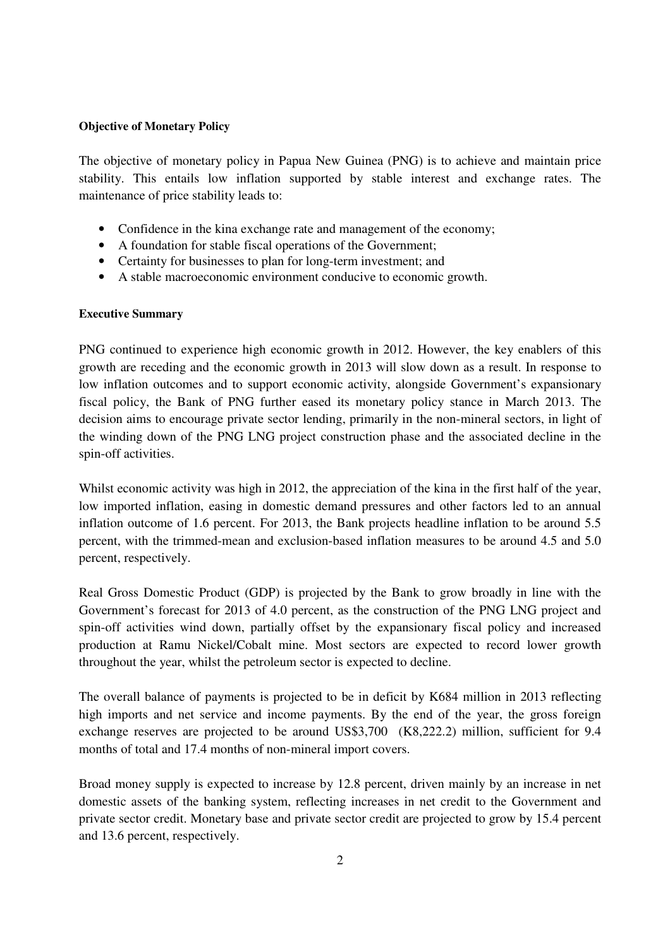## **Objective of Monetary Policy**

The objective of monetary policy in Papua New Guinea (PNG) is to achieve and maintain price stability. This entails low inflation supported by stable interest and exchange rates. The maintenance of price stability leads to:

- Confidence in the kina exchange rate and management of the economy;
- A foundation for stable fiscal operations of the Government;
- Certainty for businesses to plan for long-term investment; and
- A stable macroeconomic environment conducive to economic growth.

## **Executive Summary**

PNG continued to experience high economic growth in 2012. However, the key enablers of this growth are receding and the economic growth in 2013 will slow down as a result. In response to low inflation outcomes and to support economic activity, alongside Government's expansionary fiscal policy, the Bank of PNG further eased its monetary policy stance in March 2013. The decision aims to encourage private sector lending, primarily in the non-mineral sectors, in light of the winding down of the PNG LNG project construction phase and the associated decline in the spin-off activities.

Whilst economic activity was high in 2012, the appreciation of the kina in the first half of the year, low imported inflation, easing in domestic demand pressures and other factors led to an annual inflation outcome of 1.6 percent. For 2013, the Bank projects headline inflation to be around 5.5 percent, with the trimmed-mean and exclusion-based inflation measures to be around 4.5 and 5.0 percent, respectively.

Real Gross Domestic Product (GDP) is projected by the Bank to grow broadly in line with the Government's forecast for 2013 of 4.0 percent, as the construction of the PNG LNG project and spin-off activities wind down, partially offset by the expansionary fiscal policy and increased production at Ramu Nickel/Cobalt mine. Most sectors are expected to record lower growth throughout the year, whilst the petroleum sector is expected to decline.

The overall balance of payments is projected to be in deficit by K684 million in 2013 reflecting high imports and net service and income payments. By the end of the year, the gross foreign exchange reserves are projected to be around US\$3,700 (K8,222.2) million, sufficient for 9.4 months of total and 17.4 months of non-mineral import covers.

Broad money supply is expected to increase by 12.8 percent, driven mainly by an increase in net domestic assets of the banking system, reflecting increases in net credit to the Government and private sector credit. Monetary base and private sector credit are projected to grow by 15.4 percent and 13.6 percent, respectively.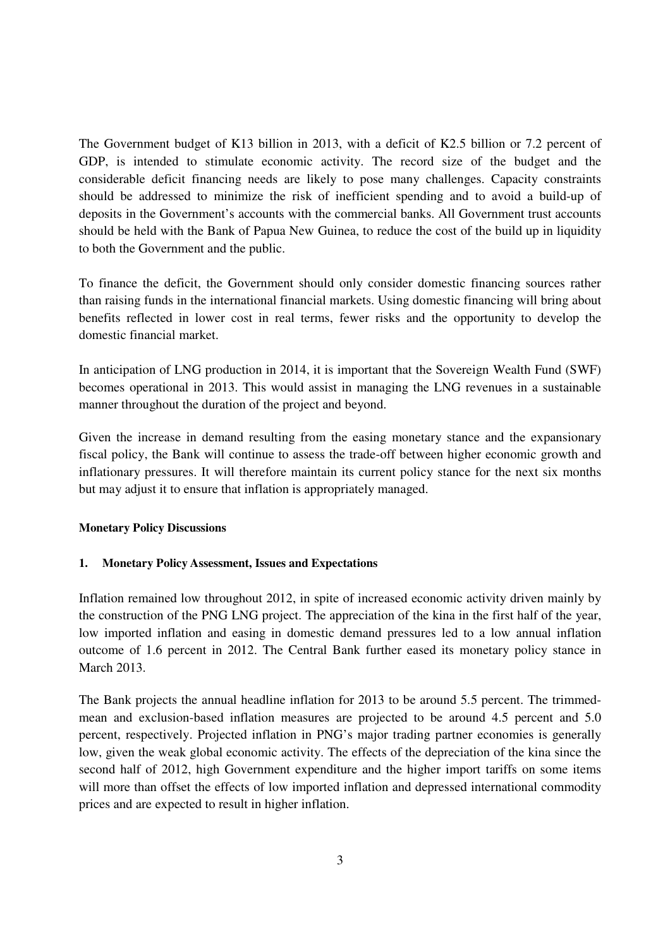The Government budget of K13 billion in 2013, with a deficit of K2.5 billion or 7.2 percent of GDP, is intended to stimulate economic activity. The record size of the budget and the considerable deficit financing needs are likely to pose many challenges. Capacity constraints should be addressed to minimize the risk of inefficient spending and to avoid a build-up of deposits in the Government's accounts with the commercial banks. All Government trust accounts should be held with the Bank of Papua New Guinea, to reduce the cost of the build up in liquidity to both the Government and the public.

To finance the deficit, the Government should only consider domestic financing sources rather than raising funds in the international financial markets. Using domestic financing will bring about benefits reflected in lower cost in real terms, fewer risks and the opportunity to develop the domestic financial market.

In anticipation of LNG production in 2014, it is important that the Sovereign Wealth Fund (SWF) becomes operational in 2013. This would assist in managing the LNG revenues in a sustainable manner throughout the duration of the project and beyond.

Given the increase in demand resulting from the easing monetary stance and the expansionary fiscal policy, the Bank will continue to assess the trade-off between higher economic growth and inflationary pressures. It will therefore maintain its current policy stance for the next six months but may adjust it to ensure that inflation is appropriately managed.

## **Monetary Policy Discussions**

## **1. Monetary Policy Assessment, Issues and Expectations**

Inflation remained low throughout 2012, in spite of increased economic activity driven mainly by the construction of the PNG LNG project. The appreciation of the kina in the first half of the year, low imported inflation and easing in domestic demand pressures led to a low annual inflation outcome of 1.6 percent in 2012. The Central Bank further eased its monetary policy stance in March 2013.

The Bank projects the annual headline inflation for 2013 to be around 5.5 percent. The trimmedmean and exclusion-based inflation measures are projected to be around 4.5 percent and 5.0 percent, respectively. Projected inflation in PNG's major trading partner economies is generally low, given the weak global economic activity. The effects of the depreciation of the kina since the second half of 2012, high Government expenditure and the higher import tariffs on some items will more than offset the effects of low imported inflation and depressed international commodity prices and are expected to result in higher inflation.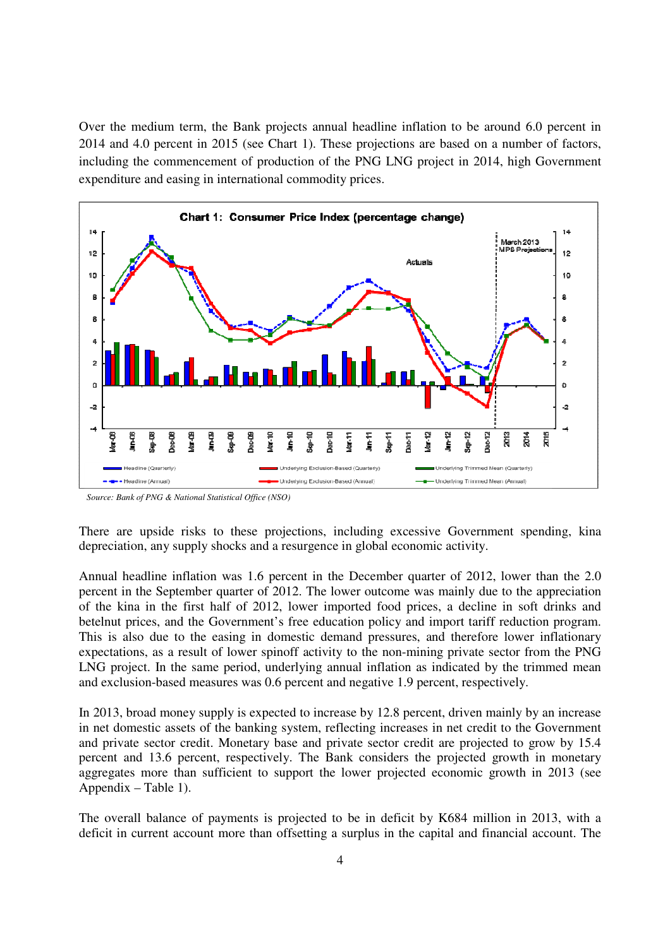Over the medium term, the Bank projects annual headline inflation to be around 6.0 percent in 2014 and 4.0 percent in 2015 (see Chart 1). These projections are based on a number of factors, including the commencement of production of the PNG LNG project in 2014, high Government expenditure and easing in international commodity prices.



*Source: Bank of PNG & National Statistical Office (NSO)* 

There are upside risks to these projections, including excessive Government spending, kina depreciation, any supply shocks and a resurgence in global economic activity.

Annual headline inflation was 1.6 percent in the December quarter of 2012, lower than the 2.0 percent in the September quarter of 2012. The lower outcome was mainly due to the appreciation of the kina in the first half of 2012, lower imported food prices, a decline in soft drinks and betelnut prices, and the Government's free education policy and import tariff reduction program. This is also due to the easing in domestic demand pressures, and therefore lower inflationary expectations, as a result of lower spinoff activity to the non-mining private sector from the PNG LNG project. In the same period, underlying annual inflation as indicated by the trimmed mean and exclusion-based measures was 0.6 percent and negative 1.9 percent, respectively.

In 2013, broad money supply is expected to increase by 12.8 percent, driven mainly by an increase in net domestic assets of the banking system, reflecting increases in net credit to the Government and private sector credit. Monetary base and private sector credit are projected to grow by 15.4 percent and 13.6 percent, respectively. The Bank considers the projected growth in monetary aggregates more than sufficient to support the lower projected economic growth in 2013 (see Appendix – Table 1).

The overall balance of payments is projected to be in deficit by K684 million in 2013, with a deficit in current account more than offsetting a surplus in the capital and financial account. The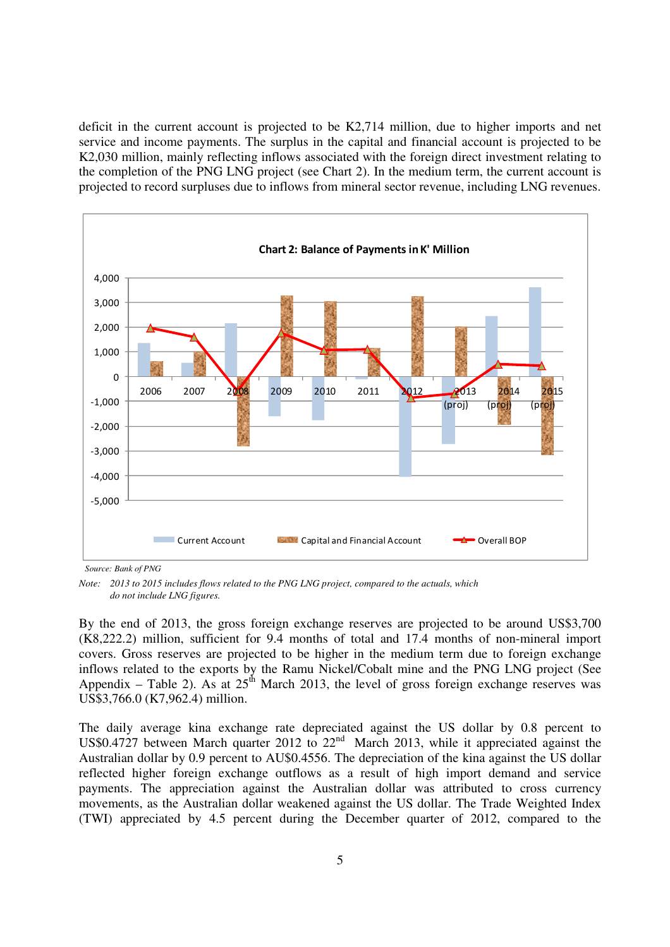deficit in the current account is projected to be K2,714 million, due to higher imports and net service and income payments. The surplus in the capital and financial account is projected to be K2,030 million, mainly reflecting inflows associated with the foreign direct investment relating to the completion of the PNG LNG project (see Chart 2). In the medium term, the current account is projected to record surpluses due to inflows from mineral sector revenue, including LNG revenues.



*Source: Bank of PNG* 

*Note: 2013 to 2015 includes flows related to the PNG LNG project, compared to the actuals, which do not include LNG figures.* 

By the end of 2013, the gross foreign exchange reserves are projected to be around US\$3,700 (K8,222.2) million, sufficient for 9.4 months of total and 17.4 months of non-mineral import covers. Gross reserves are projected to be higher in the medium term due to foreign exchange inflows related to the exports by the Ramu Nickel/Cobalt mine and the PNG LNG project (See Appendix – Table 2). As at  $25<sup>th</sup>$  March 2013, the level of gross foreign exchange reserves was US\$3,766.0 (K7,962.4) million.

The daily average kina exchange rate depreciated against the US dollar by 0.8 percent to US\$0.4727 between March quarter 2012 to 22<sup>nd</sup> March 2013, while it appreciated against the Australian dollar by 0.9 percent to AU\$0.4556. The depreciation of the kina against the US dollar reflected higher foreign exchange outflows as a result of high import demand and service payments. The appreciation against the Australian dollar was attributed to cross currency movements, as the Australian dollar weakened against the US dollar. The Trade Weighted Index (TWI) appreciated by 4.5 percent during the December quarter of 2012, compared to the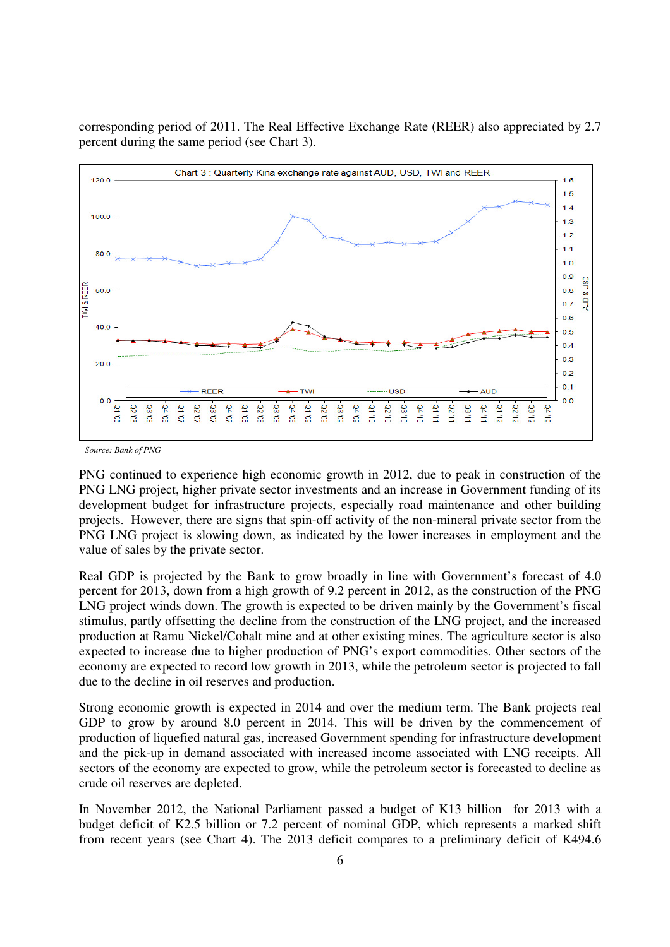corresponding period of 2011. The Real Effective Exchange Rate (REER) also appreciated by 2.7 percent during the same period (see Chart 3).



*Source: Bank of PNG* 

PNG continued to experience high economic growth in 2012, due to peak in construction of the PNG LNG project, higher private sector investments and an increase in Government funding of its development budget for infrastructure projects, especially road maintenance and other building projects. However, there are signs that spin-off activity of the non-mineral private sector from the PNG LNG project is slowing down, as indicated by the lower increases in employment and the value of sales by the private sector.

Real GDP is projected by the Bank to grow broadly in line with Government's forecast of 4.0 percent for 2013, down from a high growth of 9.2 percent in 2012, as the construction of the PNG LNG project winds down. The growth is expected to be driven mainly by the Government's fiscal stimulus, partly offsetting the decline from the construction of the LNG project, and the increased production at Ramu Nickel/Cobalt mine and at other existing mines. The agriculture sector is also expected to increase due to higher production of PNG's export commodities. Other sectors of the economy are expected to record low growth in 2013, while the petroleum sector is projected to fall due to the decline in oil reserves and production.

Strong economic growth is expected in 2014 and over the medium term. The Bank projects real GDP to grow by around 8.0 percent in 2014. This will be driven by the commencement of production of liquefied natural gas, increased Government spending for infrastructure development and the pick-up in demand associated with increased income associated with LNG receipts. All sectors of the economy are expected to grow, while the petroleum sector is forecasted to decline as crude oil reserves are depleted.

In November 2012, the National Parliament passed a budget of K13 billion for 2013 with a budget deficit of K2.5 billion or 7.2 percent of nominal GDP, which represents a marked shift from recent years (see Chart 4). The 2013 deficit compares to a preliminary deficit of K494.6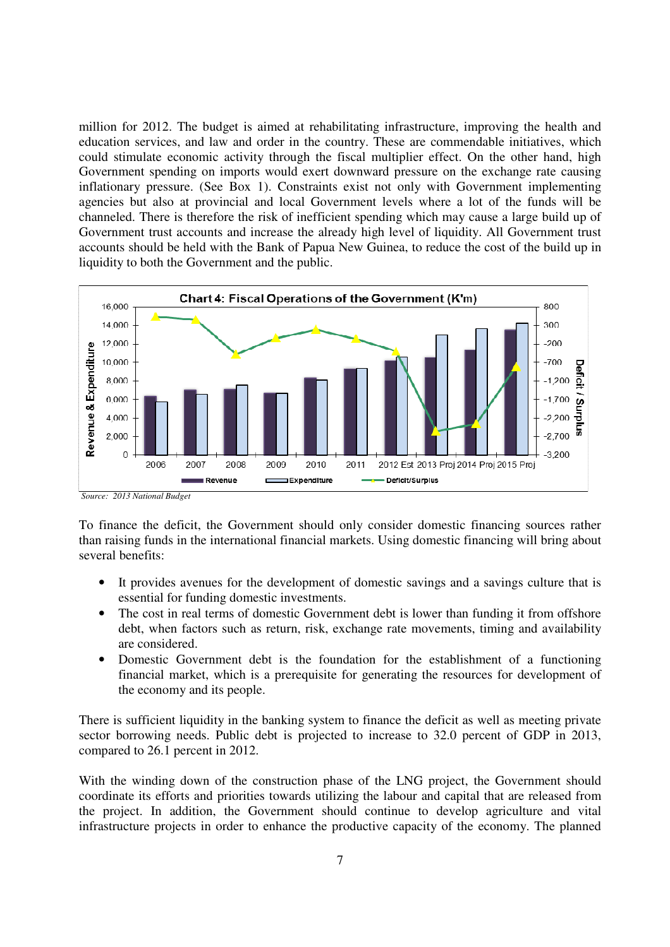million for 2012. The budget is aimed at rehabilitating infrastructure, improving the health and education services, and law and order in the country. These are commendable initiatives, which could stimulate economic activity through the fiscal multiplier effect. On the other hand, high Government spending on imports would exert downward pressure on the exchange rate causing inflationary pressure. (See Box 1). Constraints exist not only with Government implementing agencies but also at provincial and local Government levels where a lot of the funds will be channeled. There is therefore the risk of inefficient spending which may cause a large build up of Government trust accounts and increase the already high level of liquidity. All Government trust accounts should be held with the Bank of Papua New Guinea, to reduce the cost of the build up in liquidity to both the Government and the public.



*Source: 2013 National Budget* 

To finance the deficit, the Government should only consider domestic financing sources rather than raising funds in the international financial markets. Using domestic financing will bring about several benefits:

- It provides avenues for the development of domestic savings and a savings culture that is essential for funding domestic investments.
- The cost in real terms of domestic Government debt is lower than funding it from offshore debt, when factors such as return, risk, exchange rate movements, timing and availability are considered.
- Domestic Government debt is the foundation for the establishment of a functioning financial market, which is a prerequisite for generating the resources for development of the economy and its people.

There is sufficient liquidity in the banking system to finance the deficit as well as meeting private sector borrowing needs. Public debt is projected to increase to 32.0 percent of GDP in 2013, compared to 26.1 percent in 2012.

With the winding down of the construction phase of the LNG project, the Government should coordinate its efforts and priorities towards utilizing the labour and capital that are released from the project. In addition, the Government should continue to develop agriculture and vital infrastructure projects in order to enhance the productive capacity of the economy. The planned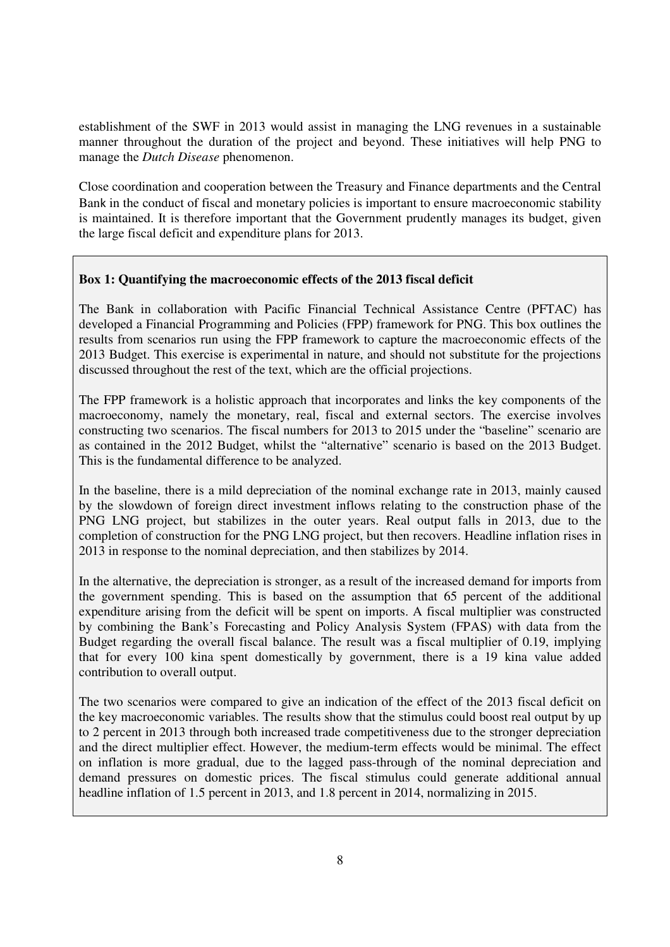establishment of the SWF in 2013 would assist in managing the LNG revenues in a sustainable manner throughout the duration of the project and beyond. These initiatives will help PNG to manage the *Dutch Disease* phenomenon.

Close coordination and cooperation between the Treasury and Finance departments and the Central Bank in the conduct of fiscal and monetary policies is important to ensure macroeconomic stability is maintained. It is therefore important that the Government prudently manages its budget, given the large fiscal deficit and expenditure plans for 2013.

## **Box 1: Quantifying the macroeconomic effects of the 2013 fiscal deficit**

The Bank in collaboration with Pacific Financial Technical Assistance Centre (PFTAC) has developed a Financial Programming and Policies (FPP) framework for PNG. This box outlines the results from scenarios run using the FPP framework to capture the macroeconomic effects of the 2013 Budget. This exercise is experimental in nature, and should not substitute for the projections discussed throughout the rest of the text, which are the official projections.

The FPP framework is a holistic approach that incorporates and links the key components of the macroeconomy, namely the monetary, real, fiscal and external sectors. The exercise involves constructing two scenarios. The fiscal numbers for 2013 to 2015 under the "baseline" scenario are as contained in the 2012 Budget, whilst the "alternative" scenario is based on the 2013 Budget. This is the fundamental difference to be analyzed.

In the baseline, there is a mild depreciation of the nominal exchange rate in 2013, mainly caused by the slowdown of foreign direct investment inflows relating to the construction phase of the PNG LNG project, but stabilizes in the outer years. Real output falls in 2013, due to the completion of construction for the PNG LNG project, but then recovers. Headline inflation rises in 2013 in response to the nominal depreciation, and then stabilizes by 2014.

In the alternative, the depreciation is stronger, as a result of the increased demand for imports from the government spending. This is based on the assumption that 65 percent of the additional expenditure arising from the deficit will be spent on imports. A fiscal multiplier was constructed by combining the Bank's Forecasting and Policy Analysis System (FPAS) with data from the Budget regarding the overall fiscal balance. The result was a fiscal multiplier of 0.19, implying that for every 100 kina spent domestically by government, there is a 19 kina value added contribution to overall output.

The two scenarios were compared to give an indication of the effect of the 2013 fiscal deficit on the key macroeconomic variables. The results show that the stimulus could boost real output by up to 2 percent in 2013 through both increased trade competitiveness due to the stronger depreciation and the direct multiplier effect. However, the medium-term effects would be minimal. The effect on inflation is more gradual, due to the lagged pass-through of the nominal depreciation and demand pressures on domestic prices. The fiscal stimulus could generate additional annual headline inflation of 1.5 percent in 2013, and 1.8 percent in 2014, normalizing in 2015.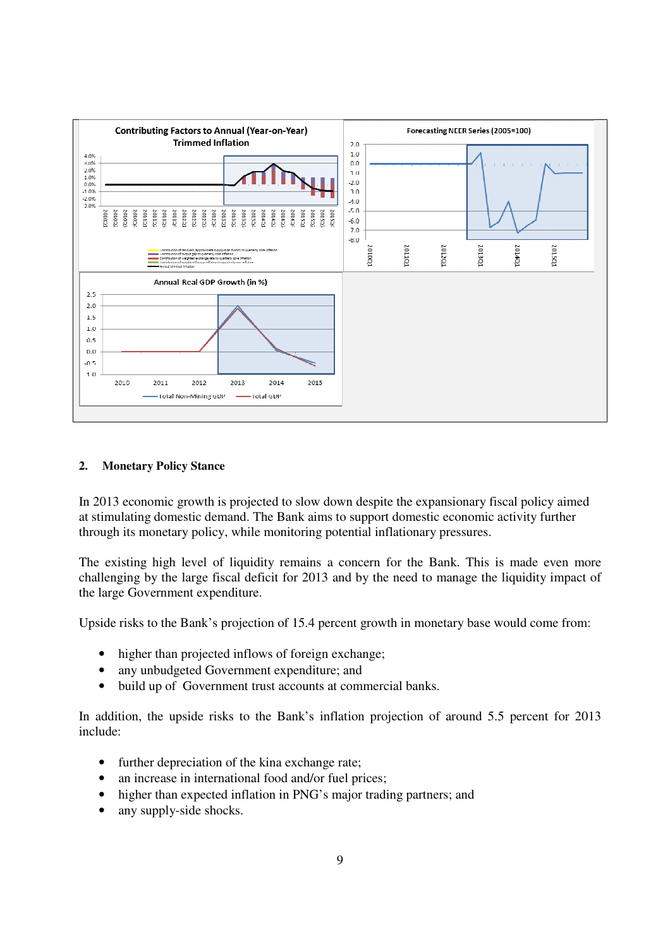

## **2. Monetary Policy Stance**

In 2013 economic growth is projected to slow down despite the expansionary fiscal policy aimed at stimulating domestic demand. The Bank aims to support domestic economic activity further through its monetary policy, while monitoring potential inflationary pressures.

The existing high level of liquidity remains a concern for the Bank. This is made even more challenging by the large fiscal deficit for 2013 and by the need to manage the liquidity impact of the large Government expenditure.

Upside risks to the Bank's projection of 15.4 percent growth in monetary base would come from:

- higher than projected inflows of foreign exchange;
- any unbudgeted Government expenditure; and
- build up of Government trust accounts at commercial banks.

In addition, the upside risks to the Bank's inflation projection of around 5.5 percent for 2013 include:

- further depreciation of the kina exchange rate;
- an increase in international food and/or fuel prices;
- higher than expected inflation in PNG's major trading partners; and
- any supply-side shocks.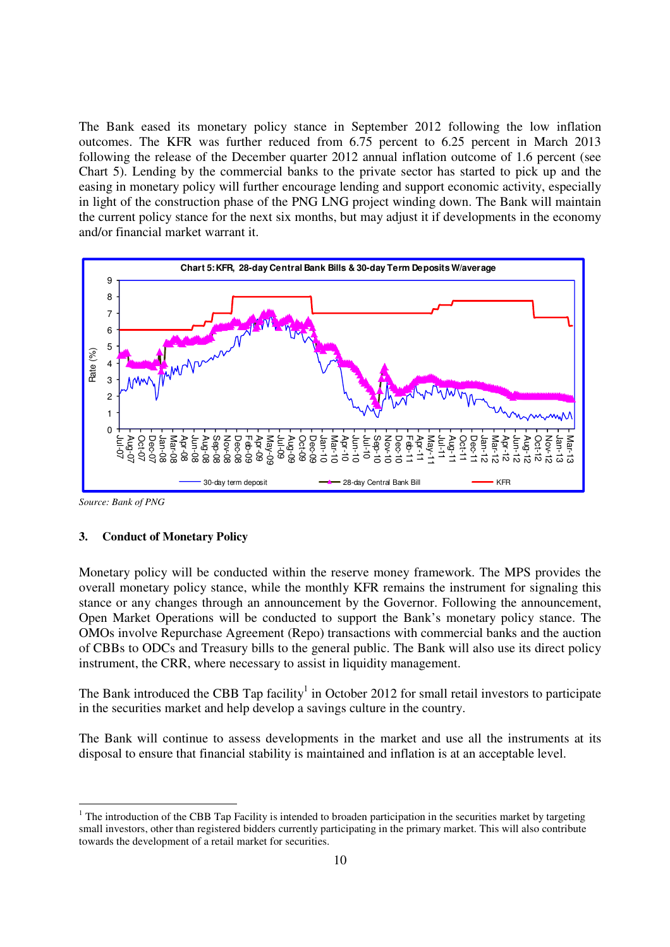The Bank eased its monetary policy stance in September 2012 following the low inflation outcomes. The KFR was further reduced from 6.75 percent to 6.25 percent in March 2013 following the release of the December quarter 2012 annual inflation outcome of 1.6 percent (see Chart 5). Lending by the commercial banks to the private sector has started to pick up and the easing in monetary policy will further encourage lending and support economic activity, especially in light of the construction phase of the PNG LNG project winding down. The Bank will maintain the current policy stance for the next six months, but may adjust it if developments in the economy and/or financial market warrant it.



*Source: Bank of PNG* 

-

#### **3. Conduct of Monetary Policy**

Monetary policy will be conducted within the reserve money framework. The MPS provides the overall monetary policy stance, while the monthly KFR remains the instrument for signaling this stance or any changes through an announcement by the Governor. Following the announcement, Open Market Operations will be conducted to support the Bank's monetary policy stance. The OMOs involve Repurchase Agreement (Repo) transactions with commercial banks and the auction of CBBs to ODCs and Treasury bills to the general public. The Bank will also use its direct policy instrument, the CRR, where necessary to assist in liquidity management.

The Bank introduced the CBB Tap facility<sup>1</sup> in October 2012 for small retail investors to participate in the securities market and help develop a savings culture in the country.

The Bank will continue to assess developments in the market and use all the instruments at its disposal to ensure that financial stability is maintained and inflation is at an acceptable level.

 $1$  The introduction of the CBB Tap Facility is intended to broaden participation in the securities market by targeting small investors, other than registered bidders currently participating in the primary market. This will also contribute towards the development of a retail market for securities.